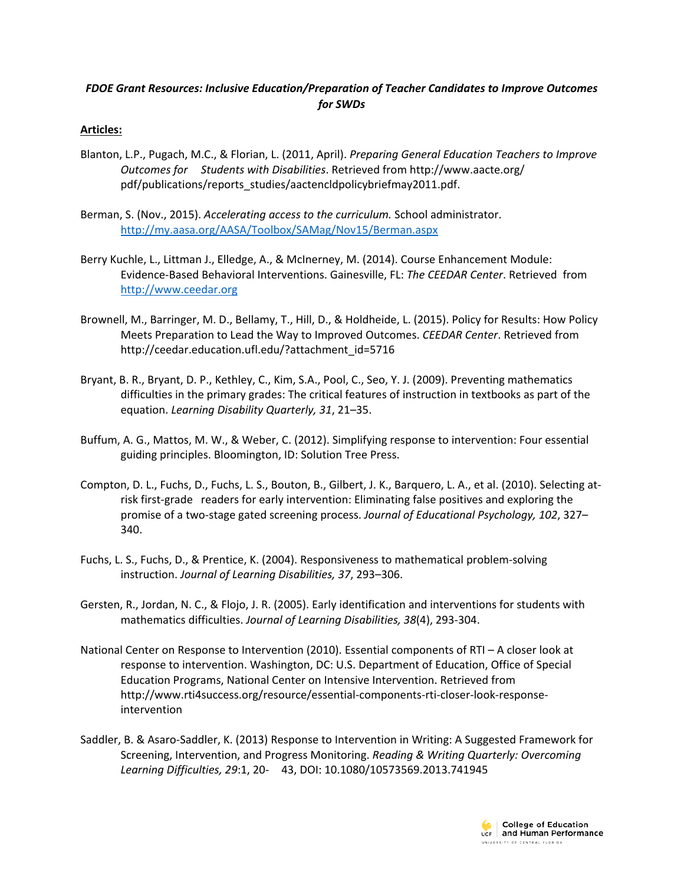# *FDOE Grant Resources: Inclusive Education/Preparation of Teacher Candidates to Improve Outcomes for SWDs*

## **Articles:**

- Blanton, L.P., Pugach, M.C., & Florian, L. (2011, April). *Preparing General Education Teachers to Improve Outcomes for Students with Disabilities*. Retrieved from http://www.aacte.org/ pdf/publications/reports\_studies/aactencldpolicybriefmay2011.pdf.
- Berman, S. (Nov., 2015). *Accelerating access to the curriculum.* School administrator. <http://my.aasa.org/AASA/Toolbox/SAMag/Nov15/Berman.aspx>
- Berry Kuchle, L., Littman J., Elledge, A., & McInerney, M. (2014). Course Enhancement Module: Evidence-Based Behavioral Interventions. Gainesville, FL: *The CEEDAR Center*. Retrieved from [http://www.ceedar.org](http://www.ceedar.org/)
- Brownell, M., Barringer, M. D., Bellamy, T., Hill, D., & Holdheide, L. (2015). Policy for Results: How Policy Meets Preparation to Lead the Way to Improved Outcomes. *CEEDAR Center*. Retrieved from http://ceedar.education.ufl.edu/?attachment\_id=5716
- Bryant, B. R., Bryant, D. P., Kethley, C., Kim, S.A., Pool, C., Seo, Y. J. (2009). Preventing mathematics difficulties in the primary grades: The critical features of instruction in textbooks as part of the equation. *Learning Disability Quarterly, 31*, 21–35.
- Buffum, A. G., Mattos, M. W., & Weber, C. (2012). Simplifying response to intervention: Four essential guiding principles. Bloomington, ID: Solution Tree Press.
- Compton, D. L., Fuchs, D., Fuchs, L. S., Bouton, B., Gilbert, J. K., Barquero, L. A., et al. (2010). Selecting atrisk first-grade readers for early intervention: Eliminating false positives and exploring the promise of a two-stage gated screening process. *Journal of Educational Psychology, 102*, 327– 340.
- Fuchs, L. S., Fuchs, D., & Prentice, K. (2004). Responsiveness to mathematical problem-solving instruction. *Journal of Learning Disabilities, 37*, 293–306.
- Gersten, R., Jordan, N. C., & Flojo, J. R. (2005). Early identification and interventions for students with mathematics difficulties. *Journal of Learning Disabilities, 38*(4), 293-304.
- National Center on Response to Intervention (2010). Essential components of RTI A closer look at response to intervention. Washington, DC: U.S. Department of Education, Office of Special Education Programs, National Center on Intensive Intervention. Retrieved from http://www.rti4success.org/resource/essential-components-rti-closer-look-responseintervention
- Saddler, B. & Asaro-Saddler, K. (2013) Response to Intervention in Writing: A Suggested Framework for Screening, Intervention, and Progress Monitoring. *Reading & Writing Quarterly: Overcoming Learning Difficulties, 29*:1, 20- 43, DOI: 10.1080/10573569.2013.741945

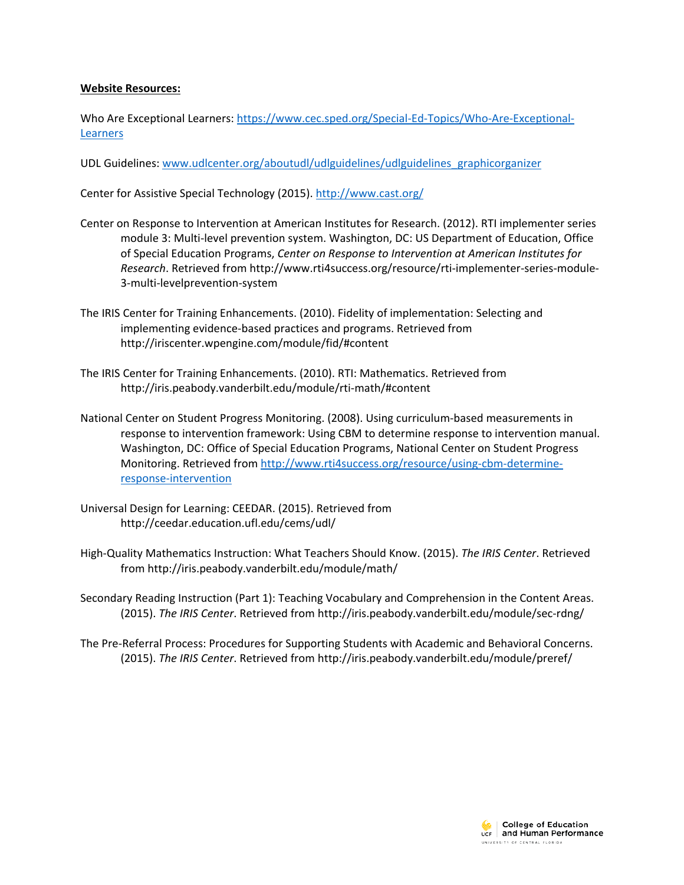#### **Website Resources:**

Who Are Exceptional Learners: [https://www.cec.sped.org/Special-Ed-Topics/Who-Are-Exceptional-](https://www.cec.sped.org/Special-Ed-Topics/Who-Are-Exceptional-Learners)[Learners](https://www.cec.sped.org/Special-Ed-Topics/Who-Are-Exceptional-Learners)

UDL Guidelines: [www.udlcenter.org/aboutudl/udlguidelines/udlguidelines\\_graphicorganizer](http://www.udlcenter.org/aboutudl/udlguidelines/udlguidelines_graphicorganizer)

Center for Assistive Special Technology (2015).<http://www.cast.org/>

- Center on Response to Intervention at American Institutes for Research. (2012). RTI implementer series module 3: Multi-level prevention system. Washington, DC: US Department of Education, Office of Special Education Programs, *Center on Response to Intervention at American Institutes for Research*. Retrieved from http://www.rti4success.org/resource/rti-implementer-series-module-3-multi-levelprevention-system
- The IRIS Center for Training Enhancements. (2010). Fidelity of implementation: Selecting and implementing evidence-based practices and programs. Retrieved from http://iriscenter.wpengine.com/module/fid/#content
- The IRIS Center for Training Enhancements. (2010). RTI: Mathematics. Retrieved from http://iris.peabody.vanderbilt.edu/module/rti-math/#content
- National Center on Student Progress Monitoring. (2008). Using curriculum-based measurements in response to intervention framework: Using CBM to determine response to intervention manual. Washington, DC: Office of Special Education Programs, National Center on Student Progress Monitoring. Retrieved fro[m http://www.rti4success.org/resource/using-cbm-determine](http://www.rti4success.org/resource/using-cbm-determine-response-intervention)[response-intervention](http://www.rti4success.org/resource/using-cbm-determine-response-intervention)
- Universal Design for Learning: CEEDAR. (2015). Retrieved from http://ceedar.education.ufl.edu/cems/udl/
- High-Quality Mathematics Instruction: What Teachers Should Know. (2015). *The IRIS Center*. Retrieved from http://iris.peabody.vanderbilt.edu/module/math/

Secondary Reading Instruction (Part 1): Teaching Vocabulary and Comprehension in the Content Areas. (2015). *The IRIS Center*. Retrieved from http://iris.peabody.vanderbilt.edu/module/sec-rdng/

The Pre-Referral Process: Procedures for Supporting Students with Academic and Behavioral Concerns. (2015). *The IRIS Center*. Retrieved from http://iris.peabody.vanderbilt.edu/module/preref/

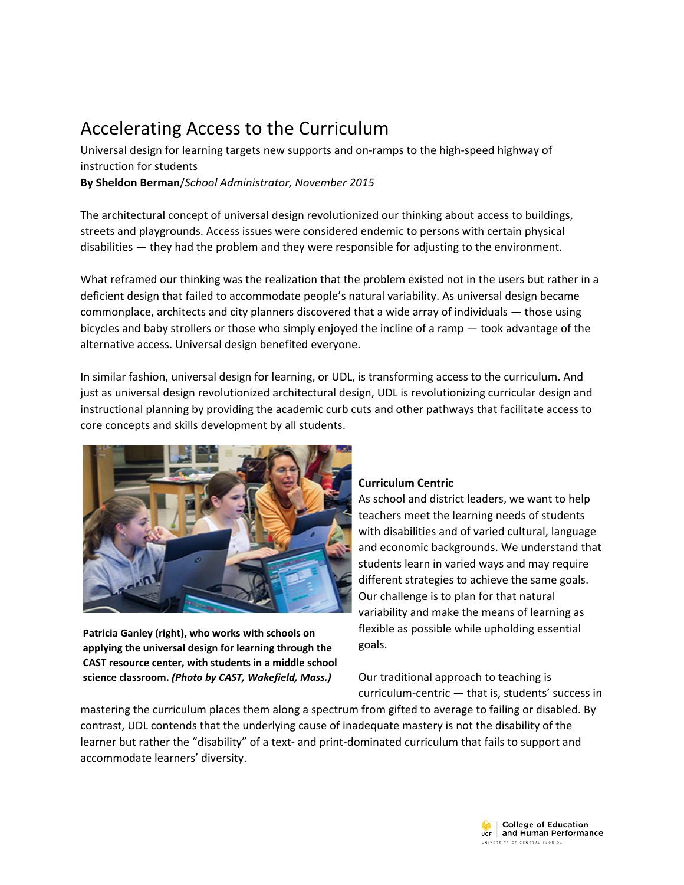# Accelerating Access to the Curriculum

Universal design for learning targets new supports and on-ramps to the high-speed highway of instruction for students

**By Sheldon Berman**/*School Administrator, November 2015*

The architectural concept of universal design revolutionized our thinking about access to buildings, streets and playgrounds. Access issues were considered endemic to persons with certain physical disabilities — they had the problem and they were responsible for adjusting to the environment.

What reframed our thinking was the realization that the problem existed not in the users but rather in a deficient design that failed to accommodate people's natural variability. As universal design became commonplace, architects and city planners discovered that a wide array of individuals — those using bicycles and baby strollers or those who simply enjoyed the incline of a ramp — took advantage of the alternative access. Universal design benefited everyone.

In similar fashion, universal design for learning, or UDL, is transforming access to the curriculum. And just as universal design revolutionized architectural design, UDL is revolutionizing curricular design and instructional planning by providing the academic curb cuts and other pathways that facilitate access to core concepts and skills development by all students.



**Patricia Ganley (right), who works with schools on applying the universal design for learning through the CAST resource center, with students in a middle school science classroom.** *(Photo by CAST, Wakefield, Mass.)*

## **Curriculum Centric**

As school and district leaders, we want to help teachers meet the learning needs of students with disabilities and of varied cultural, language and economic backgrounds. We understand that students learn in varied ways and may require different strategies to achieve the same goals. Our challenge is to plan for that natural variability and make the means of learning as flexible as possible while upholding essential goals.

Our traditional approach to teaching is curriculum-centric — that is, students' success in

mastering the curriculum places them along a spectrum from gifted to average to failing or disabled. By contrast, UDL contends that the underlying cause of inadequate mastery is not the disability of the learner but rather the "disability" of a text- and print-dominated curriculum that fails to support and accommodate learners' diversity.

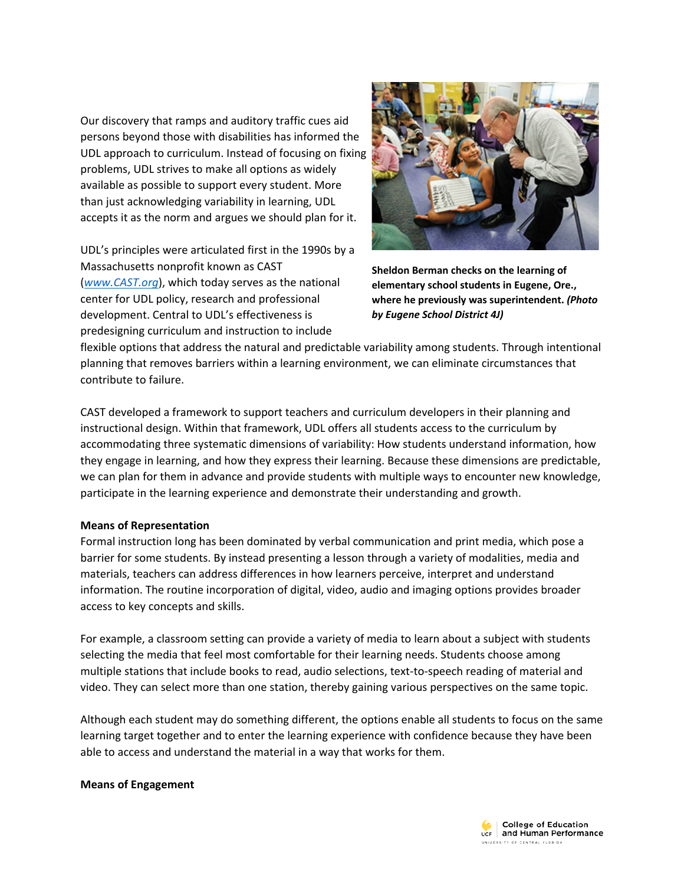Our discovery that ramps and auditory traffic cues aid persons beyond those with disabilities has informed the UDL approach to curriculum. Instead of focusing on fixing problems, UDL strives to make all options as widely available as possible to support every student. More than just acknowledging variability in learning, UDL accepts it as the norm and argues we should plan for it.

UDL's principles were articulated first in the 1990s by a Massachusetts nonprofit known as CAST (*[www.CAST.org](http://www.cast.org/)*), which today serves as the national center for UDL policy, research and professional development. Central to UDL's effectiveness is predesigning curriculum and instruction to include



**Sheldon Berman checks on the learning of elementary school students in Eugene, Ore., where he previously was superintendent.** *(Photo by Eugene School District 4J)*

flexible options that address the natural and predictable variability among students. Through intentional planning that removes barriers within a learning environment, we can eliminate circumstances that contribute to failure.

CAST developed a framework to support teachers and curriculum developers in their planning and instructional design. Within that framework, UDL offers all students access to the curriculum by accommodating three systematic dimensions of variability: How students understand information, how they engage in learning, and how they express their learning. Because these dimensions are predictable, we can plan for them in advance and provide students with multiple ways to encounter new knowledge, participate in the learning experience and demonstrate their understanding and growth.

## **Means of Representation**

Formal instruction long has been dominated by verbal communication and print media, which pose a barrier for some students. By instead presenting a lesson through a variety of modalities, media and materials, teachers can address differences in how learners perceive, interpret and understand information. The routine incorporation of digital, video, audio and imaging options provides broader access to key concepts and skills.

For example, a classroom setting can provide a variety of media to learn about a subject with students selecting the media that feel most comfortable for their learning needs. Students choose among multiple stations that include books to read, audio selections, text-to-speech reading of material and video. They can select more than one station, thereby gaining various perspectives on the same topic.

Although each student may do something different, the options enable all students to focus on the same learning target together and to enter the learning experience with confidence because they have been able to access and understand the material in a way that works for them.

#### **Means of Engagement**

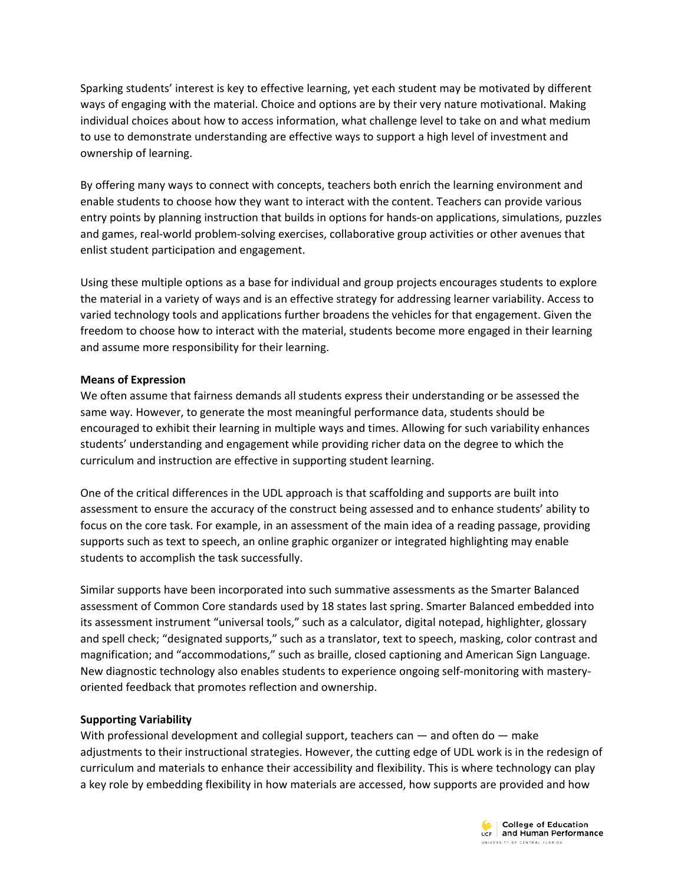Sparking students' interest is key to effective learning, yet each student may be motivated by different ways of engaging with the material. Choice and options are by their very nature motivational. Making individual choices about how to access information, what challenge level to take on and what medium to use to demonstrate understanding are effective ways to support a high level of investment and ownership of learning.

By offering many ways to connect with concepts, teachers both enrich the learning environment and enable students to choose how they want to interact with the content. Teachers can provide various entry points by planning instruction that builds in options for hands-on applications, simulations, puzzles and games, real-world problem-solving exercises, collaborative group activities or other avenues that enlist student participation and engagement.

Using these multiple options as a base for individual and group projects encourages students to explore the material in a variety of ways and is an effective strategy for addressing learner variability. Access to varied technology tools and applications further broadens the vehicles for that engagement. Given the freedom to choose how to interact with the material, students become more engaged in their learning and assume more responsibility for their learning.

## **Means of Expression**

We often assume that fairness demands all students express their understanding or be assessed the same way. However, to generate the most meaningful performance data, students should be encouraged to exhibit their learning in multiple ways and times. Allowing for such variability enhances students' understanding and engagement while providing richer data on the degree to which the curriculum and instruction are effective in supporting student learning.

One of the critical differences in the UDL approach is that scaffolding and supports are built into assessment to ensure the accuracy of the construct being assessed and to enhance students' ability to focus on the core task. For example, in an assessment of the main idea of a reading passage, providing supports such as text to speech, an online graphic organizer or integrated highlighting may enable students to accomplish the task successfully.

Similar supports have been incorporated into such summative assessments as the Smarter Balanced assessment of Common Core standards used by 18 states last spring. Smarter Balanced embedded into its assessment instrument "universal tools," such as a calculator, digital notepad, highlighter, glossary and spell check; "designated supports," such as a translator, text to speech, masking, color contrast and magnification; and "accommodations," such as braille, closed captioning and American Sign Language. New diagnostic technology also enables students to experience ongoing self-monitoring with masteryoriented feedback that promotes reflection and ownership.

## **Supporting Variability**

With professional development and collegial support, teachers can  $-$  and often do  $-$  make adjustments to their instructional strategies. However, the cutting edge of UDL work is in the redesign of curriculum and materials to enhance their accessibility and flexibility. This is where technology can play a key role by embedding flexibility in how materials are accessed, how supports are provided and how